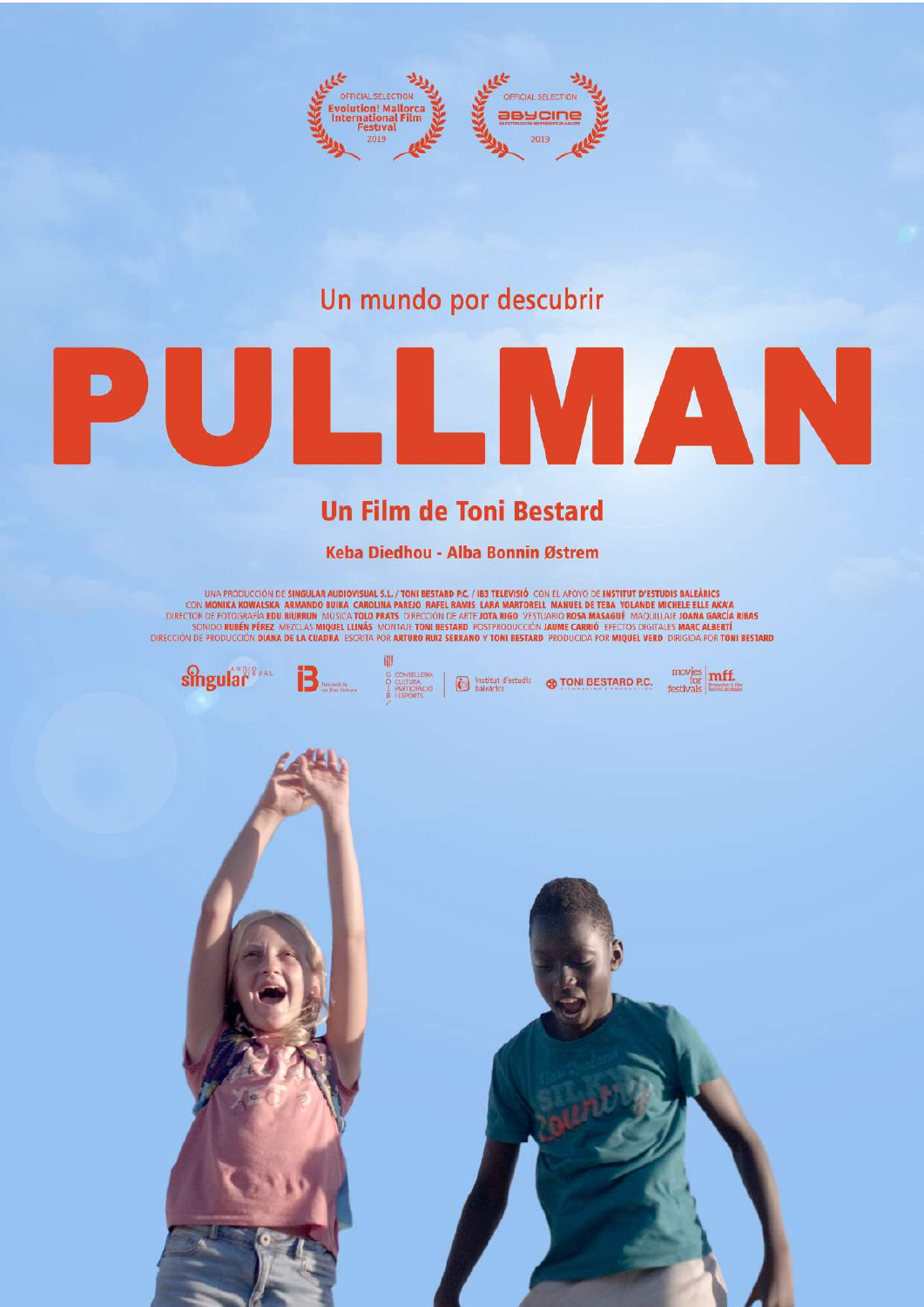

## Un mundo por descubrir

# **LIMANN**  $\mathbf{P}$ UIE

## **Un Film de Toni Bestard**

### Keba Diedhou - Alba Bonnin Østrem

UNA PRODUCCIÓN DE **SINGULAR AUDIOVISUAL S.L. / TONI BESTARD P.C. / IB3 TELEVISIÓ** CON EL APOYO DE **INSTITUT D'ESTUDIS BALEÀRICS**<br>CON **MONIKA KOWALSKA ARMANDO BUIKA CAROLINA PAREJO RAFEL RAMIS LARA MARTORELL MANUEL DE TEBA** 

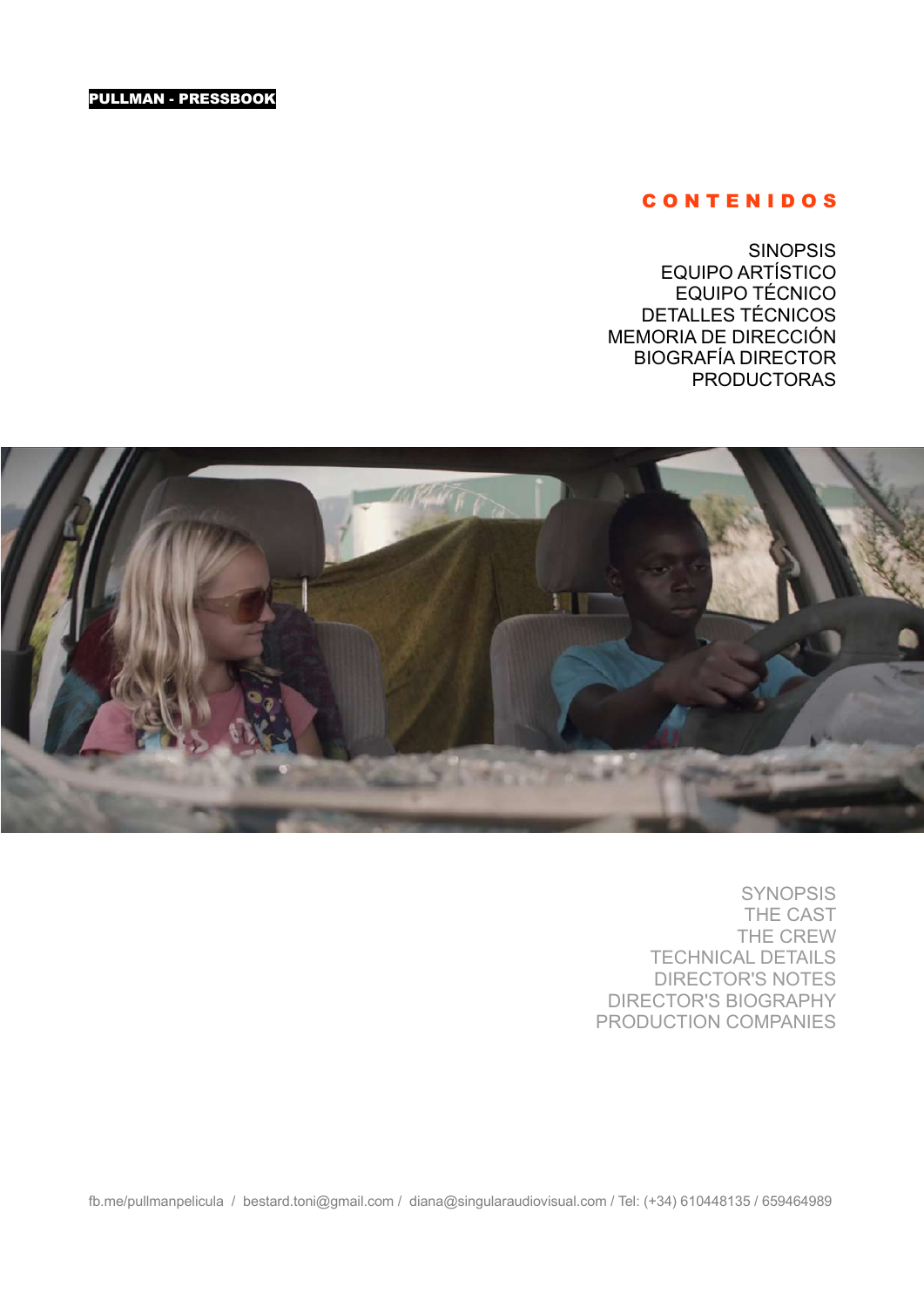#### C O N T E N I D O S

**SINOPSIS** EQUIPO ARTÍSTICO EQUIPO TÉCNICO DETALLES TÉCNICOS MEMORIA DE DIRECCIÓN BIOGRAFÍA DIRECTOR PRODUCTORAS



SYNOPSIS THE CAST THE CREW TECHNICAL DETAILS DIRECTOR'S NOTES DIRECTOR'S BIOGRAPHY PRODUCTION COMPANIES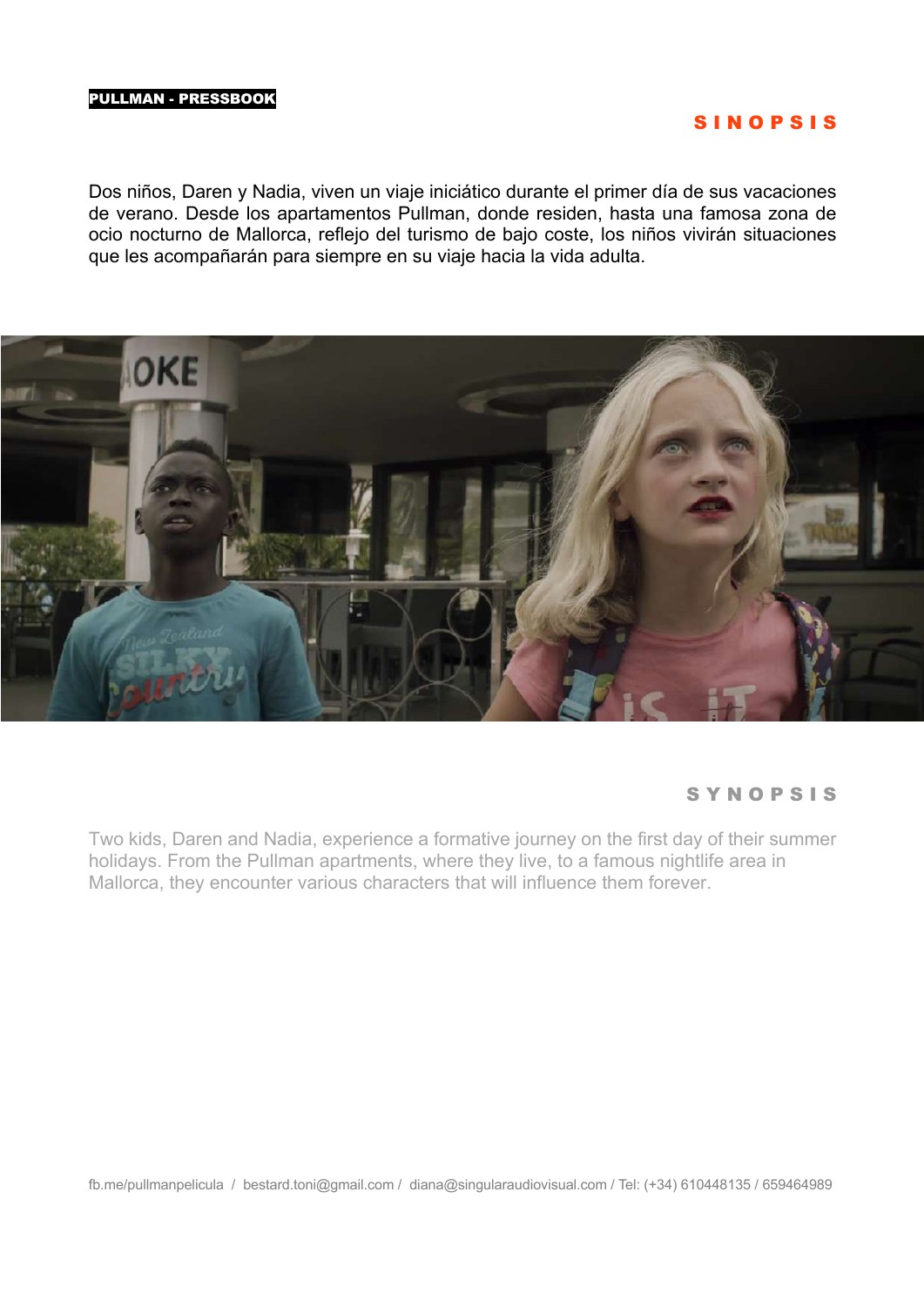### S I N O P S I S

Dos niños, Daren y Nadia, viven un viaje iniciático durante el primer día de sus vacaciones de verano. Desde los apartamentos Pullman, donde residen, hasta una famosa zona de ocio nocturno de Mallorca, reflejo del turismo de bajo coste, los niños vivirán situaciones que les acompañarán para siempre en su viaje hacia la vida adulta.



### S Y N O P S I S

Two kids, Daren and Nadia, experience a formative journey on the first day of their summer holidays. From the Pullman apartments, where they live, to a famous nightlife area in Mallorca, they encounter various characters that will influence them forever.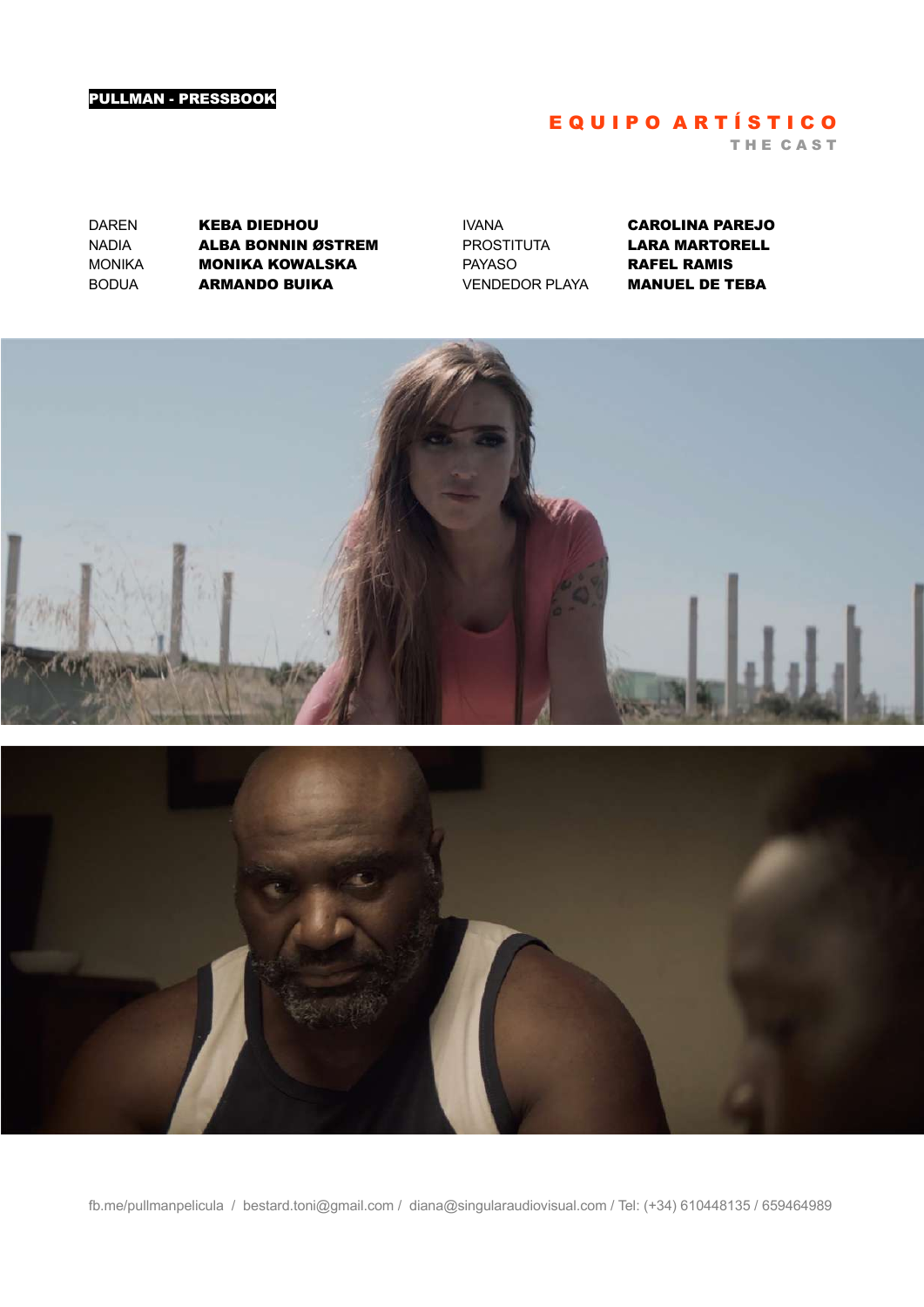## E Q U I P O A R T Í S T I C O

T H E C A S T

DAREN **KEBA DIEDHOU** NADIA **Alba Bonnin Østrem**<br>Monika **Monika Kowalska MONIKA KOWALSKA** BODUA ARMANDO BUIKA

IVANA CAROLINA PAREJO PROSTITUTA **LARA MARTORELL**<br>PAYASO **RAFEL RAMIS RAFEL RAMIS** VENDEDOR PLAYA MANUEL DE TEBA



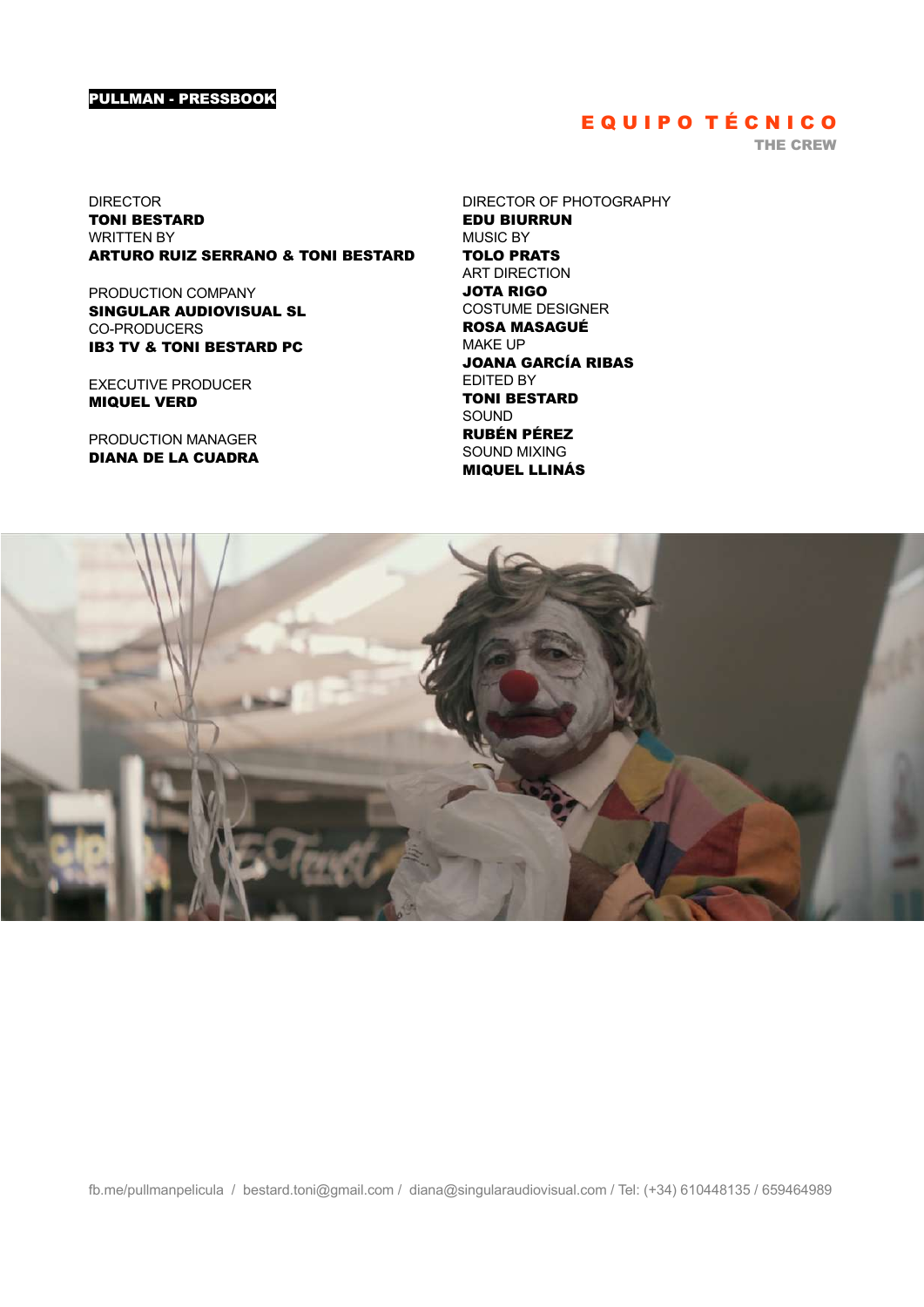## E Q U I P O TÉCNICO

THE CREW

DIRECTOR TONI BESTARD WRITTEN BY ARTURO RUIZ SERRANO & TONI BESTARD

PRODUCTION COMPANY SINGULAR AUDIOVISUAL SL CO-PRODUCERS IB3 TV & TONI BESTARD PC

EXECUTIVE PRODUCER MIQUEL VERD

PRODUCTION MANAGER DIANA DE LA CUADRA DIRECTOR OF PHOTOGRAPHY EDU BIURRUN MUSIC BY TOLO PRATS ART DIRECTION JOTA RIGO COSTUME DESIGNER ROSA MASAGUÉ MAKE UP JOANA GARCÍA RIBAS EDITED BY TONI BESTARD SOUND RUBÉN PÉREZ SOUND MIXING MIQUEL LLINÁS

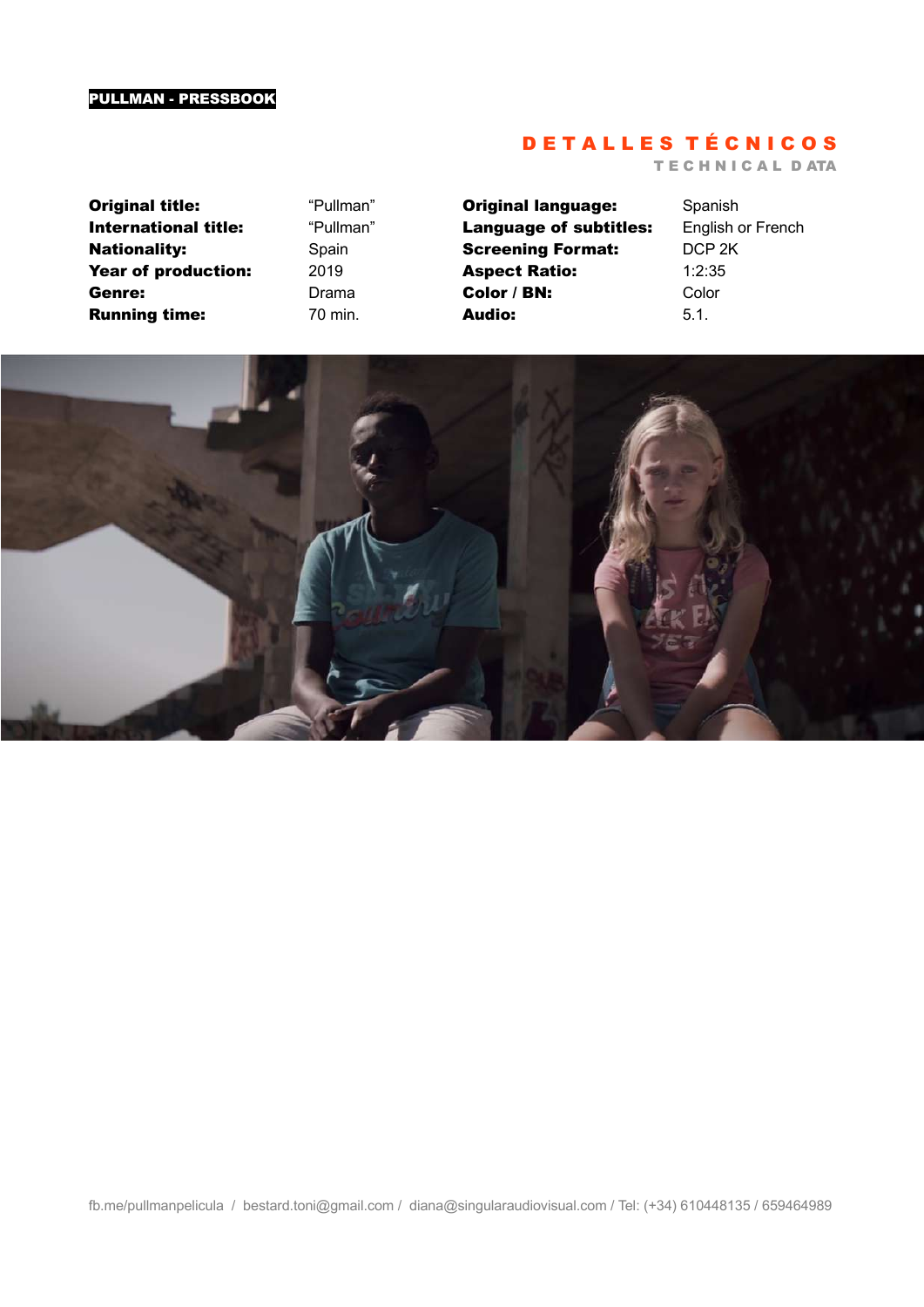## D E T A L L E S T É C N I C O S

T E C H N I C A L D ATA

**Original title:** "Pullman" International title: "Pullman" Nationality: Spain Year of production: 2019 Genre: Drama **Running time:** 70 min.

**Original language:** Spanish Language of subtitles: English or French Screening Format: DCP 2K Aspect Ratio: 1:2:35 Color / BN: Color **Audio:** 5.1.

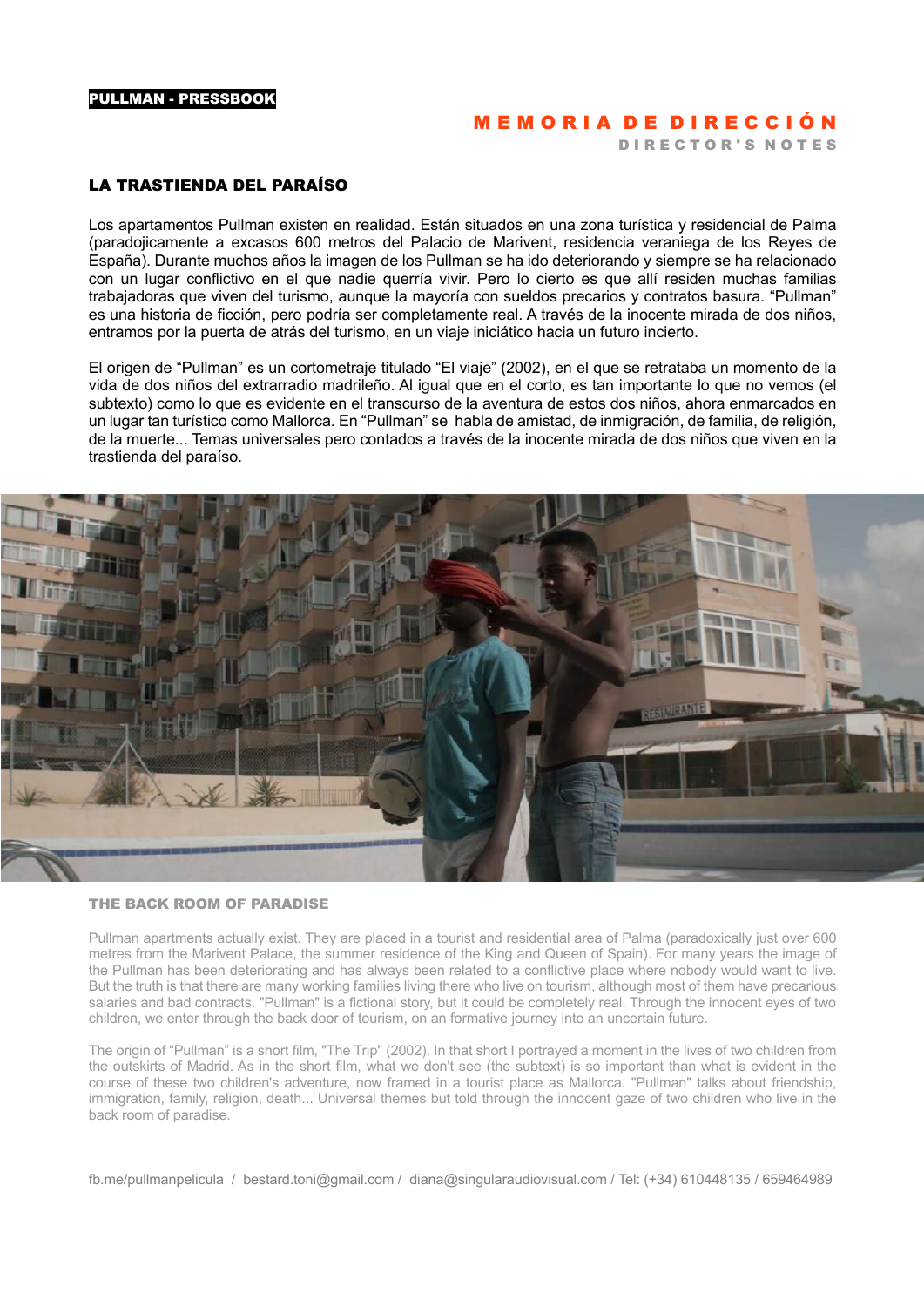## MEMORIA DE DIRECCIÓN

D I R E C T O R'S N O T E S

#### LA TRASTIENDA DEL PARAÍSO

Los apartamentos Pullman existen en realidad. Están situados en una zona turística y residencial de Palma (paradojicamente a excasos 600 metros del Palacio de Marivent, residencia veraniega de los Reyes de España). Durante muchos años la imagen de los Pullman se ha ido deteriorando y siempre se ha relacionado con un lugar conflictivo en el que nadie querría vivir. Pero lo cierto es que allí residen muchas familias trabajadoras que viven del turismo, aunque la mayoría con sueldos precarios y contratos basura. "Pullman" es una historia de ficción, pero podría ser completamente real. A través de la inocente mirada de dos niños, entramos por la puerta de atrás del turismo, en un viaje iniciático hacia un futuro incierto.

El origen de "Pullman" es un cortometraje titulado "El viaje" (2002), en el que se retrataba un momento de la vida de dos niños del extrarradio madrileño. Al igual que en el corto, es tan importante lo que no vemos (el subtexto) como lo que es evidente en el transcurso de la aventura de estos dos niños, ahora enmarcados en un lugar tan turístico como Mallorca. En "Pullman" se habla de amistad, de inmigración, de familia, de religión, de la muerte... Temas universales pero contados a través de la inocente mirada de dos niños que viven en la trastienda del paraíso.



#### THE BACK ROOM OF PARADISE

Pullman apartments actually exist. They are placed in a tourist and residential area of Palma (paradoxically just over 600 metres from the Marivent Palace, the summer residence of the King and Queen of Spain). For many years the image of the Pullman has been deteriorating and has always been related to a conflictive place where nobody would want to live. But the truth is that there are many working families living there who live on tourism, although most of them have precarious salaries and bad contracts. "Pullman" is a fictional story, but it could be completely real. Through the innocent eyes of two children, we enter through the back door of tourism, on an formative journey into an uncertain future.

The origin of "Pullman" is a short film, "The Trip" (2002). In that short I portrayed a moment in the lives of two children from the outskirts of Madrid. As in the short film, what we don't see (the subtext) is so important than what is evident in the course of these two children's adventure, now framed in a tourist place as Mallorca. "Pullman" talks about friendship, immigration, family, religion, death... Universal themes but told through the innocent gaze of two children who live in the back room of paradise.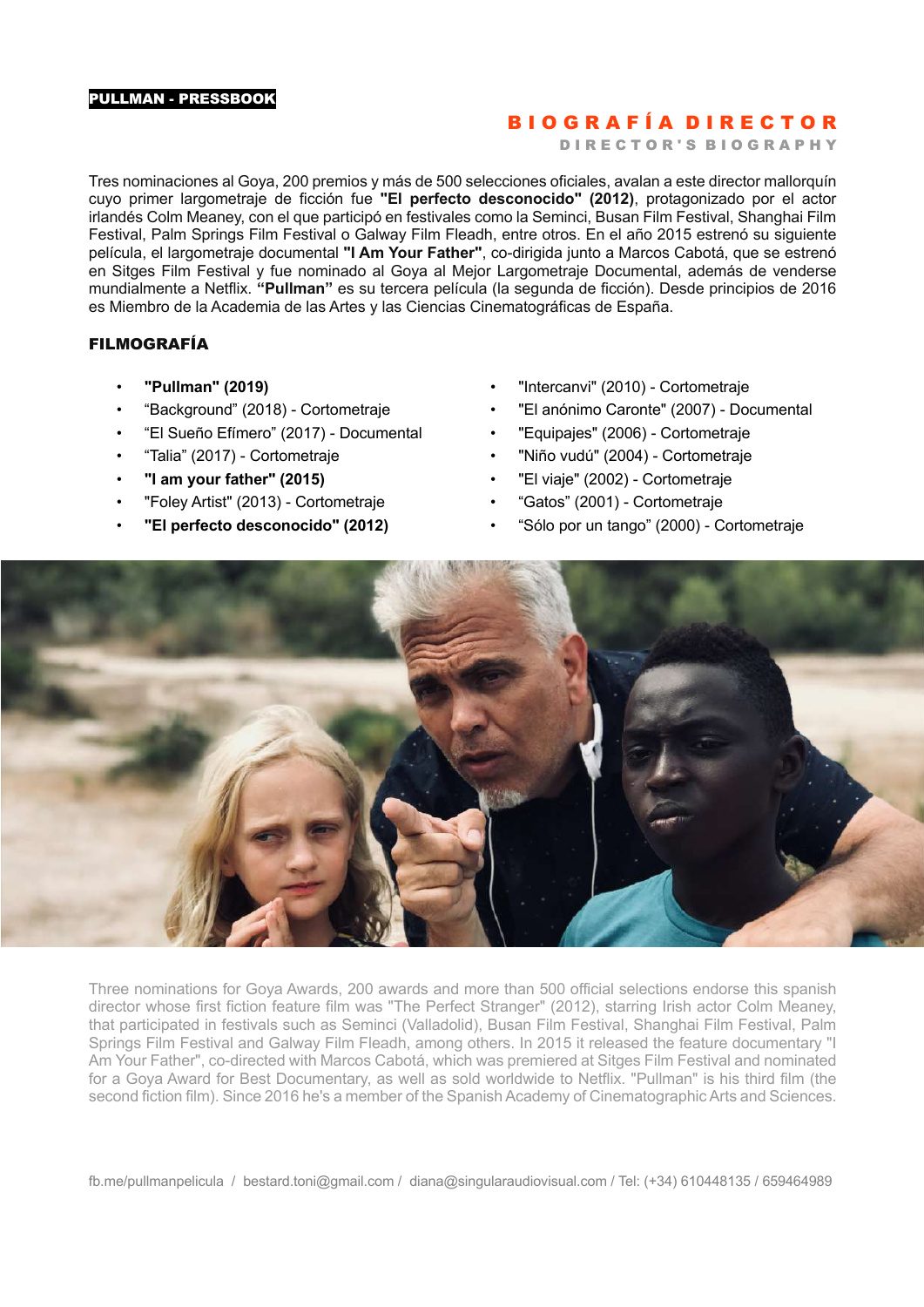## B I O G R A F Í A D I R E C T O R

D I R E C T O R ' S B I O G R A P H Y

Tres nominaciones al Goya, 200 premios y más de 500 selecciones oficiales, avalan a este director mallorquín cuyo primer largometraje de ficción fue **"El perfecto desconocido" (2012)**, protagonizado por el actor irlandés Colm Meaney, con el que participó en festivales como la Seminci, Busan Film Festival, Shanghai Film Festival, Palm Springs Film Festival o Galway Film Fleadh, entre otros. En el año 2015 estrenó su siguiente película, el largometraje documental **"I Am Your Father"**, co-dirigida junto a Marcos Cabotá, que se estrenó en Sitges Film Festival y fue nominado al Goya al Mejor Largometraje Documental, además de venderse mundialmente a Netflix. **"Pullman"** es su tercera película (la segunda de ficción). Desde principios de 2016 es Miembro de la Academia de las Artes y las Ciencias Cinematográficas de España.

#### FILMOGRAFÍA

- **"Pullman" (2019)**
- "Background" (2018) Cortometraje
- "El Sueño Efímero" (2017) Documental
- "Talia" (2017) Cortometraje
- **"I am your father" (2015)**
- "Foley Artist" (2013) Cortometraje
- **"El perfecto desconocido" (2012)**
- "Intercanvi" (2010) Cortometraje
- "El anónimo Caronte" (2007) Documental
- "Equipajes" (2006) Cortometraje
- "Niño vudú" (2004) Cortometraje
- "El viaje" (2002) Cortometraje
- "Gatos" (2001) Cortometraje
- "Sólo por un tango" (2000) Cortometraje



Three nominations for Goya Awards, 200 awards and more than 500 official selections endorse this spanish director whose first fiction feature film was "The Perfect Stranger" (2012), starring Irish actor Colm Meaney, that participated in festivals such as Seminci (Valladolid), Busan Film Festival, Shanghai Film Festival, Palm Springs Film Festival and Galway Film Fleadh, among others. In 2015 it released the feature documentary "I Am Your Father", co-directed with Marcos Cabotá, which was premiered at Sitges Film Festival and nominated for a Goya Award for Best Documentary, as well as sold worldwide to Netflix. "Pullman" is his third film (the second fiction film). Since 2016 he's a member of the Spanish Academy of Cinematographic Arts and Sciences.